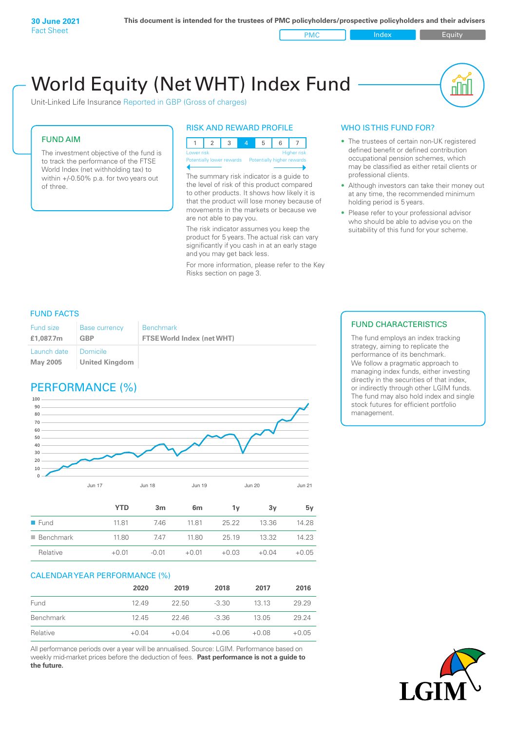PMC Index PMC Equity

пIП

# World Equity (Net WHT) Index Fund

Unit-Linked Life Insurance Reported in GBP (Gross of charges)

## FUND AIM

The investment objective of the fund is to track the performance of the FTSE World Index (net withholding tax) to within +/-0.50% p.a. for two years out of three.

## RISK AND REWARD PROFILE

123 4 5 6 7 Lower risk and the contract of the Higher risk Potentially lower rewards Potentially higher rewards

The summary risk indicator is a guide to the level of risk of this product compared to other products. It shows how likely it is that the product will lose money because of movements in the markets or because we are not able to pay you.

The risk indicator assumes you keep the product for 5 years. The actual risk can vary significantly if you cash in at an early stage and you may get back less.

For more information, please refer to the Key Risks section on page 3.

## WHO IS THIS FUND FOR?

- The trustees of certain non-UK registered defined benefit or defined contribution occupational pension schemes, which may be classified as either retail clients or professional clients.
- Although investors can take their money out at any time, the recommended minimum holding period is 5 years.
- Please refer to your professional advisor who should be able to advise you on the suitability of this fund for your scheme.

## FUND FACTS

| <b>Fund size</b><br>£1,087.7m | <b>Base currency</b><br>GBP | <b>Benchmark</b><br><b>FTSE World Index (net WHT)</b> |
|-------------------------------|-----------------------------|-------------------------------------------------------|
| Launch date   Domicile        |                             |                                                       |
| May 2005                      | United Kingdom              |                                                       |

## PERFORMANCE (%)



|                          | YTD     | 3 <sub>m</sub> | 6m      | ٦v      | 3v      | 5۷      |
|--------------------------|---------|----------------|---------|---------|---------|---------|
| $\blacksquare$ Fund      | 1181    | 746            | 1181    | 25.22   | 13.36   | 14.28   |
| $\blacksquare$ Benchmark | 11.80   | 747            | 11.80   | 25.19   | 13.32   | 14.23   |
| Relative                 | $+0.01$ | $-0.01$        | $+0.01$ | $+0.03$ | $+0.04$ | $+0.05$ |

## CALENDAR YEAR PERFORMANCE (%)

|                  | 2020    | 2019    | 2018    | 2017    | 2016    |
|------------------|---------|---------|---------|---------|---------|
| Fund             | 1249    | 22.50   | $-3.30$ | 13 13   | 29.29   |
| <b>Benchmark</b> | 12.45   | 22.46   | $-3.36$ | 13.05   | 29.24   |
| Relative         | $+0.04$ | $+0.04$ | $+0.06$ | $+0.08$ | $+0.05$ |

All performance periods over a year will be annualised. Source: LGIM. Performance based on weekly mid-market prices before the deduction of fees. **Past performance is not a guide to the future.**

## FUND CHARACTERISTICS

The fund employs an index tracking strategy, aiming to replicate the performance of its benchmark. We follow a pragmatic approach to managing index funds, either investing directly in the securities of that index, or indirectly through other LGIM funds. The fund may also hold index and single stock futures for efficient portfolio management.

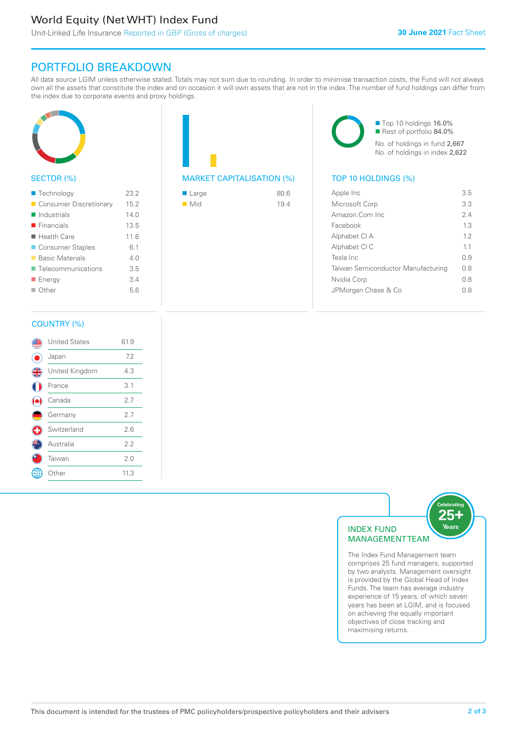## World Equity (Net WHT) Index Fund

## PORTFOLIO BREAKDOWN

All data source LGIM unless otherwise stated. Totals may not sum due to rounding. In order to minimise transaction costs, the Fund will not always own all the assets that constitute the index and on occasion it will own assets that are not in the index. The number of fund holdings can differ from the index due to corporate events and proxy holdings.



## SECTOR (%)

| ■ Technology               | 23.2 |
|----------------------------|------|
| Consumer Discretionary     | 15.2 |
| $\blacksquare$ Industrials | 140  |
| $\blacksquare$ Financials  | 13.5 |
| $\blacksquare$ Health Care | 11.6 |
| ■ Consumer Staples         | 6.1  |
| ■ Basic Materials          | 4.0  |
| ■ Telecommunications       | 3.5  |
| <b>Energy</b>              | 3.4  |
| $\Box$ Other               | 5.6  |
|                            |      |

## MARKET CAPITALISATION (%) TOP 10 HOLDINGS (%)

| ■ Large            | 80.6 |
|--------------------|------|
| $\blacksquare$ Mid | 19.4 |

■ Top 10 holdings 16.0% Rest of portfolio 84.0% No. of holdings in fund 2,667 No. of holdings in index 2,622

| Apple Inc                          | 3.5 |
|------------------------------------|-----|
| Microsoft Corp                     | 3.3 |
| Amazon Com Inc.                    | 24  |
| Facebook                           | 1.3 |
| Alphabet CI A                      | 12  |
| Alphabet CI C                      | 11  |
| Tesla Inc                          | 09  |
| Taiwan Semiconductor Manufacturing | 0 S |
| Nvidia Corp                        | 0 S |
| JPMorgan Chase & Co                | 08  |
|                                    |     |

## COUNTRY (%)

|   | <b>United States</b> | 61.9 |  |
|---|----------------------|------|--|
|   | Japan                | 7.2  |  |
| 4 | United Kingdom       | 4.3  |  |
|   | France               | 3.1  |  |
|   | Canada               | 2.7  |  |
|   | Germany              | 2.7  |  |
| ÷ | Switzerland          | 2.6  |  |
|   | Australia            | 2.2  |  |
|   | Taiwan               | 2.0  |  |
|   | Other                | 11.3 |  |
|   |                      |      |  |



The Index Fund Management team comprises 25 fund managers, supported by two analysts. Management oversight is provided by the Global Head of Index Funds. The team has average industry experience of 15 years, of which seven years has been at LGIM, and is focused on achieving the equally important objectives of close tracking and maximising returns.